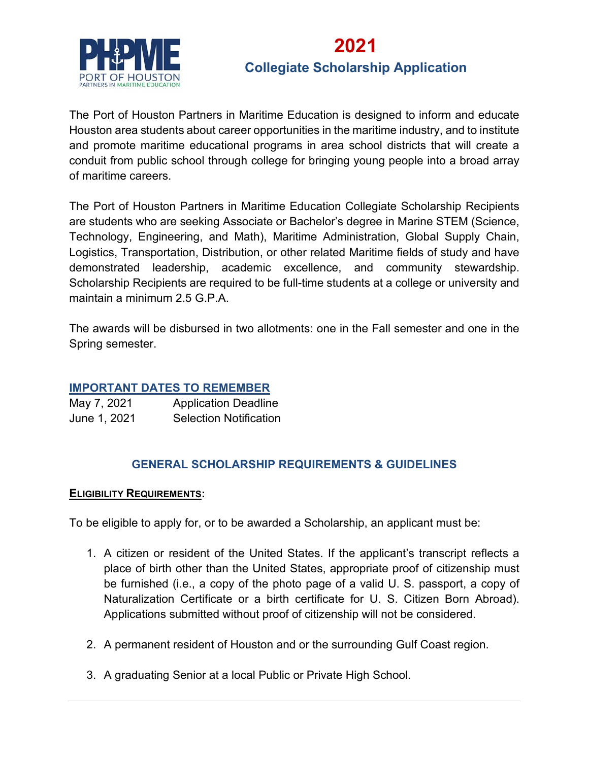

### **2021**

### **Collegiate Scholarship Application**

The Port of Houston Partners in Maritime Education is designed to inform and educate Houston area students about career opportunities in the maritime industry, and to institute and promote maritime educational programs in area school districts that will create a conduit from public school through college for bringing young people into a broad array of maritime careers.

The Port of Houston Partners in Maritime Education Collegiate Scholarship Recipients are students who are seeking Associate or Bachelor's degree in Marine STEM (Science, Technology, Engineering, and Math), Maritime Administration, Global Supply Chain, Logistics, Transportation, Distribution, or other related Maritime fields of study and have demonstrated leadership, academic excellence, and community stewardship. Scholarship Recipients are required to be full-time students at a college or university and maintain a minimum 2.5 G.P.A.

The awards will be disbursed in two allotments: one in the Fall semester and one in the Spring semester.

### **IMPORTANT DATES TO REMEMBER**

| May 7, 2021  | <b>Application Deadline</b>   |
|--------------|-------------------------------|
| June 1, 2021 | <b>Selection Notification</b> |

### **GENERAL SCHOLARSHIP REQUIREMENTS & GUIDELINES**

#### **ELIGIBILITY REQUIREMENTS:**

To be eligible to apply for, or to be awarded a Scholarship, an applicant must be:

- 1. A citizen or resident of the United States. If the applicant's transcript reflects a place of birth other than the United States, appropriate proof of citizenship must be furnished (i.e., a copy of the photo page of a valid U. S. passport, a copy of Naturalization Certificate or a birth certificate for U. S. Citizen Born Abroad). Applications submitted without proof of citizenship will not be considered.
- 2. A permanent resident of Houston and or the surrounding Gulf Coast region.
- 3. A graduating Senior at a local Public or Private High School.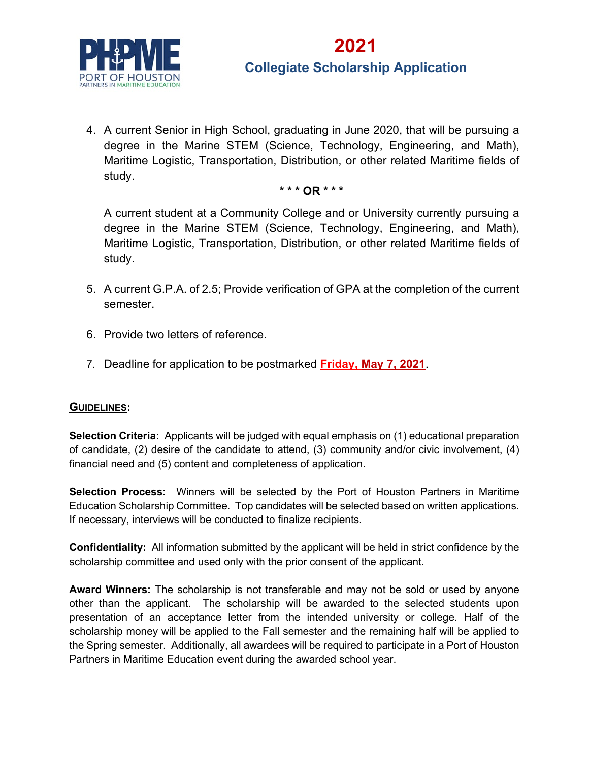

4. A current Senior in High School, graduating in June 2020, that will be pursuing a degree in the Marine STEM (Science, Technology, Engineering, and Math), Maritime Logistic, Transportation, Distribution, or other related Maritime fields of study.

#### **\* \* \* OR \* \* \***

A current student at a Community College and or University currently pursuing a degree in the Marine STEM (Science, Technology, Engineering, and Math), Maritime Logistic, Transportation, Distribution, or other related Maritime fields of study.

- 5. A current G.P.A. of 2.5; Provide verification of GPA at the completion of the current semester.
- 6. Provide two letters of reference.
- 7. Deadline for application to be postmarked **Friday, May 7, 2021**.

#### **GUIDELINES:**

**Selection Criteria:** Applicants will be judged with equal emphasis on (1) educational preparation of candidate, (2) desire of the candidate to attend, (3) community and/or civic involvement, (4) financial need and (5) content and completeness of application.

**Selection Process:** Winners will be selected by the Port of Houston Partners in Maritime Education Scholarship Committee. Top candidates will be selected based on written applications. If necessary, interviews will be conducted to finalize recipients.

**Confidentiality:** All information submitted by the applicant will be held in strict confidence by the scholarship committee and used only with the prior consent of the applicant.

**Award Winners:** The scholarship is not transferable and may not be sold or used by anyone other than the applicant. The scholarship will be awarded to the selected students upon presentation of an acceptance letter from the intended university or college. Half of the scholarship money will be applied to the Fall semester and the remaining half will be applied to the Spring semester. Additionally, all awardees will be required to participate in a Port of Houston Partners in Maritime Education event during the awarded school year.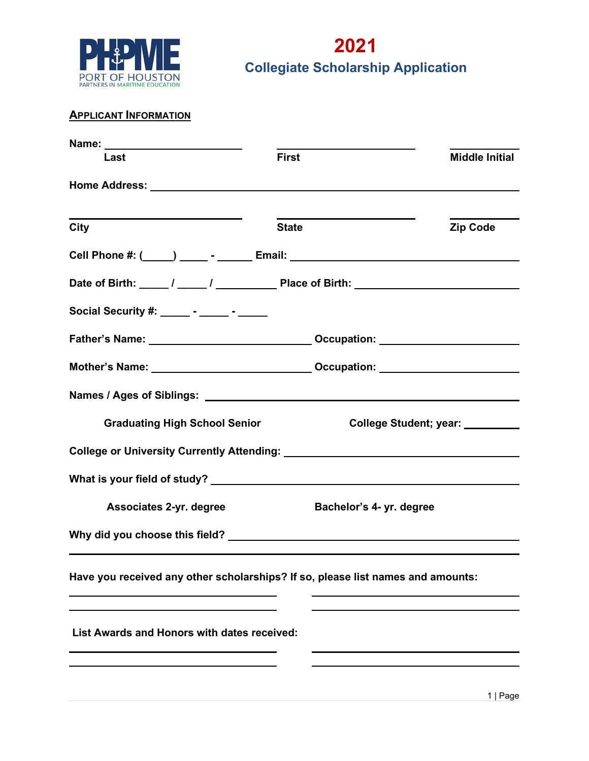

### **APPLICANT INFORMATION**

| Name: _________________________                                                  |                          |                                  |
|----------------------------------------------------------------------------------|--------------------------|----------------------------------|
| Last                                                                             | <b>First</b>             | <b>Middle Initial</b>            |
|                                                                                  |                          |                                  |
| City                                                                             | <b>State</b>             | <b>Zip Code</b>                  |
| Cell Phone #: (_____) _______- _______ Email: __________________________________ |                          |                                  |
|                                                                                  |                          |                                  |
| Social Security #: ______ - _____ - ______                                       |                          |                                  |
|                                                                                  |                          |                                  |
| Mother's Name: ___________________________________Occupation: __________________ |                          |                                  |
|                                                                                  |                          |                                  |
| <b>Graduating High School Senior</b>                                             |                          | College Student; year: _________ |
|                                                                                  |                          |                                  |
|                                                                                  |                          |                                  |
| Associates 2-yr. degree                                                          | Bachelor's 4- yr. degree |                                  |
|                                                                                  |                          |                                  |
| Have you received any other scholarships? If so, please list names and amounts:  |                          |                                  |
| List Awards and Honors with dates received:                                      |                          |                                  |
|                                                                                  |                          |                                  |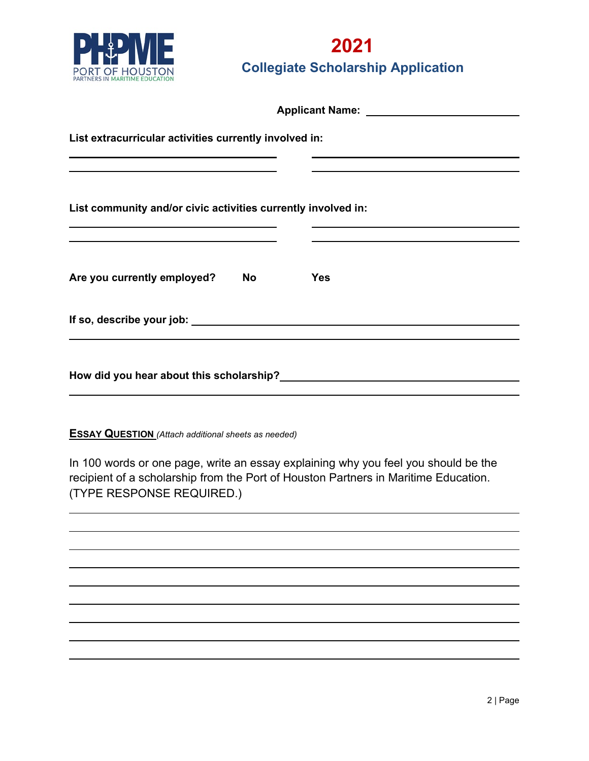

| Applicant Name: Name: Name Separation of the Separation of the Separation of the Separation of the Separation of the Separation of the Separation of the Separation of the Separation of the Separation of the Separation of t |                         |  |
|--------------------------------------------------------------------------------------------------------------------------------------------------------------------------------------------------------------------------------|-------------------------|--|
| List extracurricular activities currently involved in:                                                                                                                                                                         |                         |  |
| <u> 1989 - Johann Barn, amerikansk politiker (d. 1989)</u><br>List community and/or civic activities currently involved in:                                                                                                    |                         |  |
| <u> 1989 - Johann John Stone, markin sanadi ya kutoka mwaka wa 1989 - Amanda alikuwa mwaka wa 1989 - Amanda aliku</u>                                                                                                          |                         |  |
| Are you currently employed?                                                                                                                                                                                                    | <b>Yes</b><br><b>No</b> |  |
|                                                                                                                                                                                                                                |                         |  |
| How did you hear about this scholarship?                                                                                                                                                                                       |                         |  |

**ESSAY QUESTION** *(Attach additional sheets as needed)*

In 100 words or one page, write an essay explaining why you feel you should be the recipient of a scholarship from the Port of Houston Partners in Maritime Education. (TYPE RESPONSE REQUIRED.)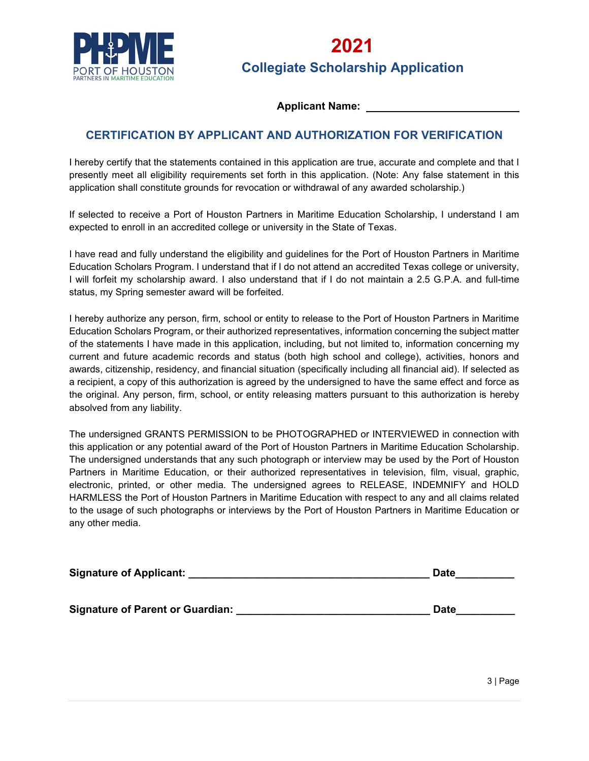

#### **Applicant Name:**

### **CERTIFICATION BY APPLICANT AND AUTHORIZATION FOR VERIFICATION**

I hereby certify that the statements contained in this application are true, accurate and complete and that I presently meet all eligibility requirements set forth in this application. (Note: Any false statement in this application shall constitute grounds for revocation or withdrawal of any awarded scholarship.)

If selected to receive a Port of Houston Partners in Maritime Education Scholarship, I understand I am expected to enroll in an accredited college or university in the State of Texas.

I have read and fully understand the eligibility and guidelines for the Port of Houston Partners in Maritime Education Scholars Program. I understand that if I do not attend an accredited Texas college or university, I will forfeit my scholarship award. I also understand that if I do not maintain a 2.5 G.P.A. and full-time status, my Spring semester award will be forfeited.

I hereby authorize any person, firm, school or entity to release to the Port of Houston Partners in Maritime Education Scholars Program, or their authorized representatives, information concerning the subject matter of the statements I have made in this application, including, but not limited to, information concerning my current and future academic records and status (both high school and college), activities, honors and awards, citizenship, residency, and financial situation (specifically including all financial aid). If selected as a recipient, a copy of this authorization is agreed by the undersigned to have the same effect and force as the original. Any person, firm, school, or entity releasing matters pursuant to this authorization is hereby absolved from any liability.

The undersigned GRANTS PERMISSION to be PHOTOGRAPHED or INTERVIEWED in connection with this application or any potential award of the Port of Houston Partners in Maritime Education Scholarship. The undersigned understands that any such photograph or interview may be used by the Port of Houston Partners in Maritime Education, or their authorized representatives in television, film, visual, graphic, electronic, printed, or other media. The undersigned agrees to RELEASE, INDEMNIFY and HOLD HARMLESS the Port of Houston Partners in Maritime Education with respect to any and all claims related to the usage of such photographs or interviews by the Port of Houston Partners in Maritime Education or any other media.

| <b>Signature of Applicant:</b>          | <b>Date</b> |
|-----------------------------------------|-------------|
|                                         |             |
| <b>Signature of Parent or Guardian:</b> | <b>Date</b> |
|                                         |             |

3 | Page